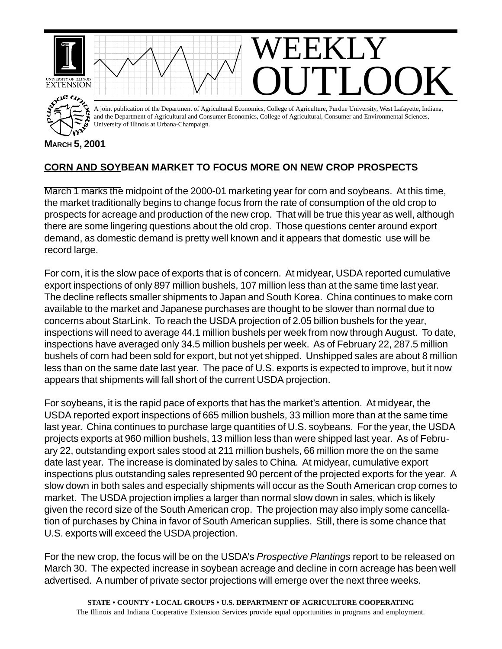

## **CORN AND SOYBEAN MARKET TO FOCUS MORE ON NEW CROP PROSPECTS**

March 1 marks the midpoint of the 2000-01 marketing year for corn and soybeans. At this time, the market traditionally begins to change focus from the rate of consumption of the old crop to prospects for acreage and production of the new crop. That will be true this year as well, although there are some lingering questions about the old crop. Those questions center around export demand, as domestic demand is pretty well known and it appears that domestic use will be record large.

For corn, it is the slow pace of exports that is of concern. At midyear, USDA reported cumulative export inspections of only 897 million bushels, 107 million less than at the same time last year. The decline reflects smaller shipments to Japan and South Korea. China continues to make corn available to the market and Japanese purchases are thought to be slower than normal due to concerns about StarLink. To reach the USDA projection of 2.05 billion bushels for the year, inspections will need to average 44.1 million bushels per week from now through August. To date, inspections have averaged only 34.5 million bushels per week. As of February 22, 287.5 million bushels of corn had been sold for export, but not yet shipped. Unshipped sales are about 8 million less than on the same date last year. The pace of U.S. exports is expected to improve, but it now appears that shipments will fall short of the current USDA projection.

For soybeans, it is the rapid pace of exports that has the market's attention. At midyear, the USDA reported export inspections of 665 million bushels, 33 million more than at the same time last year. China continues to purchase large quantities of U.S. soybeans. For the year, the USDA projects exports at 960 million bushels, 13 million less than were shipped last year. As of February 22, outstanding export sales stood at 211 million bushels, 66 million more the on the same date last year. The increase is dominated by sales to China. At midyear, cumulative export inspections plus outstanding sales represented 90 percent of the projected exports for the year. A slow down in both sales and especially shipments will occur as the South American crop comes to market. The USDA projection implies a larger than normal slow down in sales, which is likely given the record size of the South American crop. The projection may also imply some cancellation of purchases by China in favor of South American supplies. Still, there is some chance that U.S. exports will exceed the USDA projection.

For the new crop, the focus will be on the USDA's *Prospective Plantings* report to be released on March 30. The expected increase in soybean acreage and decline in corn acreage has been well advertised. A number of private sector projections will emerge over the next three weeks.